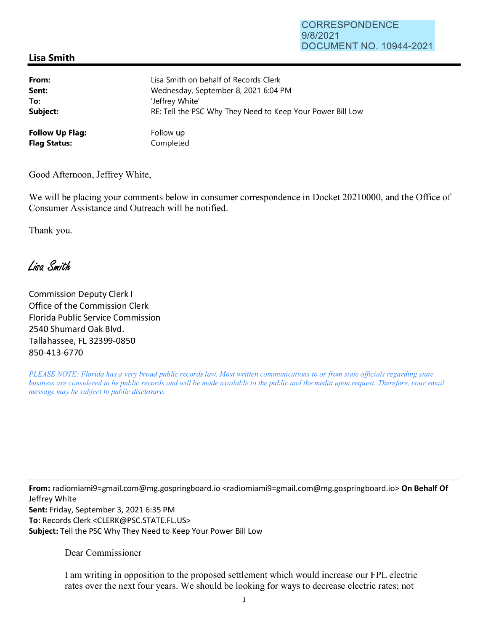## **Lisa Smith**

| From:                  | Lisa Smith on behalf of Records Clerk                      |
|------------------------|------------------------------------------------------------|
| Sent:                  | Wednesday, September 8, 2021 6:04 PM                       |
| To:                    | 'Jeffrey White'                                            |
| Subject:               | RE: Tell the PSC Why They Need to Keep Your Power Bill Low |
| <b>Follow Up Flag:</b> | Follow up                                                  |
| <b>Flag Status:</b>    | Completed                                                  |

Good Afternoon, Jeffrey White,

We will be placing your comments below in consumer correspondence in Docket 20210000, and the Office of Consumer Assistance and Outreach will be notified.

Thank you.

Lisa Smith

Commission Deputy Clerk I Office of the Commission Clerk Florida Public Service Commission 2540 Shumard Oak Blvd. Tallahassee, FL 32399-0850 850-413-6770

*PLEASE NOTE: Florida has a very broad public records law. Most written communications to or from state officials regarding state business are considered to be public records and will be made available to the public and the media upon request. Therefore, your email message may be subject to public disclosure.* 

**From:** radiomiami9=gmai1.com@mg.gospringboard.io <radiomiami9=gmai1.com@mg.gospringboard.io> **On Behalf Of**  Jeffrey White **Sent:** Friday, September 3, 2021 6:35 PM **To:** Records Clerk <CLERK@PSC.STATE.FL.US> **Subject:** Tell the PSC Why They Need to Keep Your Power Bill Low

Dear Commissioner

I am writing in opposition to the proposed settlement which would increase our FPL electric rates over the next four years. We should be looking for ways to decrease electric rates; not